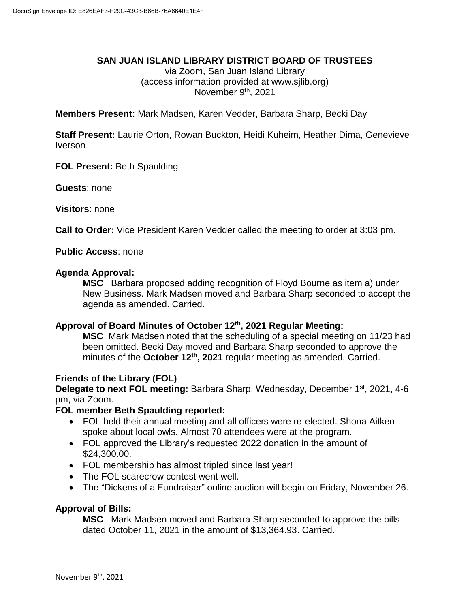### **SAN JUAN ISLAND LIBRARY DISTRICT BOARD OF TRUSTEES**

via Zoom, San Juan Island Library (access information provided at www.sjlib.org) November 9<sup>th</sup>, 2021

**Members Present:** Mark Madsen, Karen Vedder, Barbara Sharp, Becki Day

**Staff Present:** Laurie Orton, Rowan Buckton, Heidi Kuheim, Heather Dima, Genevieve Iverson

**FOL Present:** Beth Spaulding

**Guests**: none

**Visitors**: none

**Call to Order:** Vice President Karen Vedder called the meeting to order at 3:03 pm.

### **Public Access**: none

#### **Agenda Approval:**

**MSC** Barbara proposed adding recognition of Floyd Bourne as item a) under New Business. Mark Madsen moved and Barbara Sharp seconded to accept the agenda as amended. Carried.

### **Approval of Board Minutes of October 12 th, 2021 Regular Meeting:**

**MSC** Mark Madsen noted that the scheduling of a special meeting on 11/23 had been omitted. Becki Day moved and Barbara Sharp seconded to approve the minutes of the **October 12th , 2021** regular meeting as amended. Carried.

#### **Friends of the Library (FOL)**

**Delegate to next FOL meeting:** Barbara Sharp, Wednesday, December 1<sup>st</sup>, 2021, 4-6 pm, via Zoom.

#### **FOL member Beth Spaulding reported:**

- FOL held their annual meeting and all officers were re-elected. Shona Aitken spoke about local owls. Almost 70 attendees were at the program.
- FOL approved the Library's requested 2022 donation in the amount of \$24,300.00.
- FOL membership has almost tripled since last year!
- The FOL scarecrow contest went well.
- The "Dickens of a Fundraiser" online auction will begin on Friday, November 26.

#### **Approval of Bills:**

**MSC** Mark Madsen moved and Barbara Sharp seconded to approve the bills dated October 11, 2021 in the amount of \$13,364.93. Carried.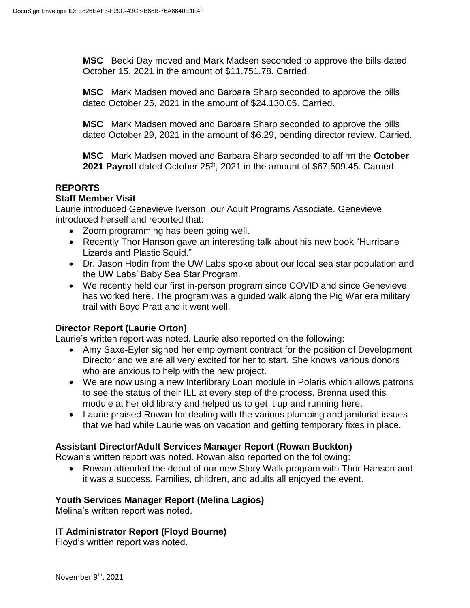**MSC** Becki Day moved and Mark Madsen seconded to approve the bills dated October 15, 2021 in the amount of \$11,751.78. Carried.

**MSC** Mark Madsen moved and Barbara Sharp seconded to approve the bills dated October 25, 2021 in the amount of \$24.130.05. Carried.

**MSC** Mark Madsen moved and Barbara Sharp seconded to approve the bills dated October 29, 2021 in the amount of \$6.29, pending director review. Carried.

**MSC** Mark Madsen moved and Barbara Sharp seconded to affirm the **October** 2021 Payroll dated October 25<sup>th</sup>, 2021 in the amount of \$67,509.45. Carried.

# **REPORTS**

## **Staff Member Visit**

Laurie introduced Genevieve Iverson, our Adult Programs Associate. Genevieve introduced herself and reported that:

- Zoom programming has been going well.
- Recently Thor Hanson gave an interesting talk about his new book "Hurricane" Lizards and Plastic Squid."
- Dr. Jason Hodin from the UW Labs spoke about our local sea star population and the UW Labs' Baby Sea Star Program.
- We recently held our first in-person program since COVID and since Genevieve has worked here. The program was a guided walk along the Pig War era military trail with Boyd Pratt and it went well.

# **Director Report (Laurie Orton)**

Laurie's written report was noted. Laurie also reported on the following:

- Amy Saxe-Eyler signed her employment contract for the position of Development Director and we are all very excited for her to start. She knows various donors who are anxious to help with the new project.
- We are now using a new Interlibrary Loan module in Polaris which allows patrons to see the status of their ILL at every step of the process. Brenna used this module at her old library and helped us to get it up and running here.
- Laurie praised Rowan for dealing with the various plumbing and janitorial issues that we had while Laurie was on vacation and getting temporary fixes in place.

# **Assistant Director/Adult Services Manager Report (Rowan Buckton)**

Rowan's written report was noted. Rowan also reported on the following:

• Rowan attended the debut of our new Story Walk program with Thor Hanson and it was a success. Families, children, and adults all enjoyed the event.

# **Youth Services Manager Report (Melina Lagios)**

Melina's written report was noted.

# **IT Administrator Report (Floyd Bourne)**

Floyd's written report was noted.